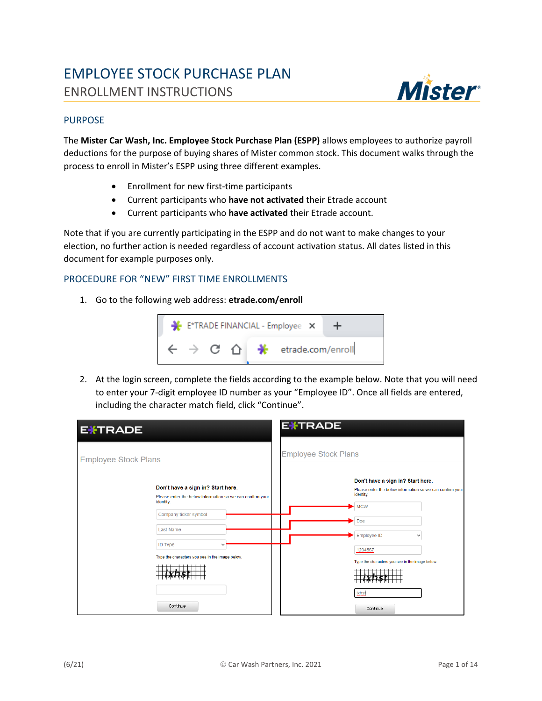# EMPLOYEE STOCK PURCHASE PLAN ENROLLMENT INSTRUCTIONS



#### PURPOSE

The **Mister Car Wash, Inc. Employee Stock Purchase Plan (ESPP)** allows employees to authorize payroll deductions for the purpose of buying shares of Mister common stock. This document walks through the process to enroll in Mister's ESPP using three different examples.

- Enrollment for new first-time participants
- Current participants who **have not activated** their Etrade account
- Current participants who **have activated** their Etrade account.

Note that if you are currently participating in the ESPP and do not want to make changes to your election, no further action is needed regardless of account activation status. All dates listed in this document for example purposes only.

### PROCEDURE FOR "NEW" FIRST TIME ENROLLMENTS

1. Go to the following web address: **etrade.com/enroll**



2. At the login screen, complete the fields according to the example below. Note that you will need to enter your 7-digit employee ID number as your "Employee ID". Once all fields are entered, including the character match field, click "Continue".

| <b>EXTRADE</b>              |                                                                                                                                                                                                                               | <b>EXTRADE</b>              |                                                                                                                                                                                                                               |
|-----------------------------|-------------------------------------------------------------------------------------------------------------------------------------------------------------------------------------------------------------------------------|-----------------------------|-------------------------------------------------------------------------------------------------------------------------------------------------------------------------------------------------------------------------------|
| <b>Employee Stock Plans</b> |                                                                                                                                                                                                                               | <b>Employee Stock Plans</b> |                                                                                                                                                                                                                               |
|                             | Don't have a sign in? Start here.<br>Please enter the below information so we can confirm your<br>identity.<br>Company ticker symbol<br><b>Last Name</b><br><b>ID Type</b><br>Type the characters you see in the image below. |                             | Don't have a sign in? Start here.<br>Please enter the below information so we can confirm your<br>identity.<br><b>MCW</b><br>Doe<br>Employee ID<br>$\checkmark$<br>1234567<br>Type the characters you see in the image below. |
|                             | Continue                                                                                                                                                                                                                      |                             | ixhst<br>Continue                                                                                                                                                                                                             |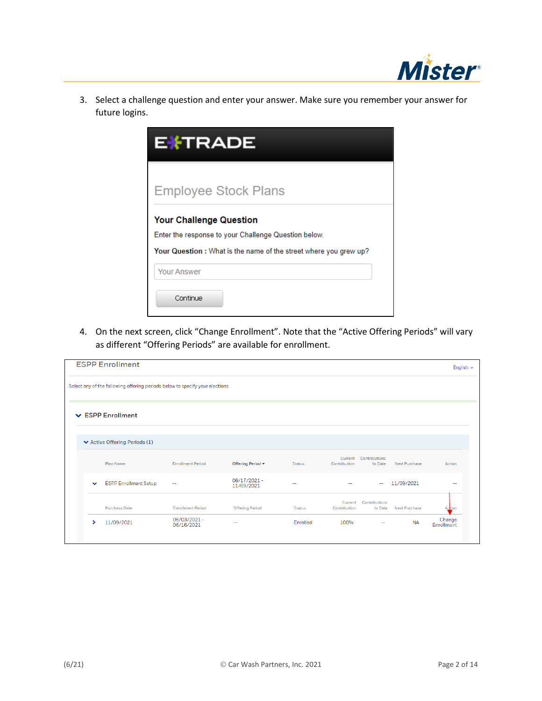

3. Select a challenge question and enter your answer. Make sure you remember your answer for future logins.

| <b>EXTRADE</b>                                                                                                                                             |
|------------------------------------------------------------------------------------------------------------------------------------------------------------|
| <b>Employee Stock Plans</b>                                                                                                                                |
| <b>Your Challenge Question</b><br>Enter the response to your Challenge Question below.<br>Your Question: What is the name of the street where you grew up? |
| <b>Your Answer</b><br>Continue                                                                                                                             |

4. On the next screen, click "Change Enrollment". Note that the "Active Offering Periods" will vary as different "Offering Periods" are available for enrollment.

|              | <b>ESPP Enrollment</b>                                                       |                            |                                      |               |                         |                                  |                      | English $\sim$       |
|--------------|------------------------------------------------------------------------------|----------------------------|--------------------------------------|---------------|-------------------------|----------------------------------|----------------------|----------------------|
|              | Select any of the following offering periods below to specify your elections |                            |                                      |               |                         |                                  |                      |                      |
|              | $\vee$ ESPP Enrollment                                                       |                            |                                      |               |                         |                                  |                      |                      |
|              | ↓ Active Offering Periods (1)                                                |                            |                                      |               |                         |                                  |                      |                      |
|              | Plan Name                                                                    | <b>Enrollment Period</b>   | Offering Period $\blacktriangledown$ | <b>Status</b> | Contribution            | Current Contributions<br>to Date | Next Purchase        | Action               |
| $\checkmark$ | <b>ESPP Enrollment Setup</b>                                                 | --                         | 06/17/2021 -<br>11/09/2021           | $\sim$        | $\sim$                  | $\sim$                           | 11/09/2021           | --                   |
|              | <b>Purchase Date</b>                                                         | <b>Enrollment Period</b>   | <b>Offering Period</b>               | <b>Status</b> | Current<br>Contribution | Contributions<br>to Date         | <b>Next Purchase</b> | Action               |
| ,            | 11/09/2021                                                                   | 06/03/2021 -<br>06/16/2021 | $\overline{\phantom{m}}$             | Enrolled      | 100%                    | $-$                              | <b>NA</b>            | Change<br>Enrollment |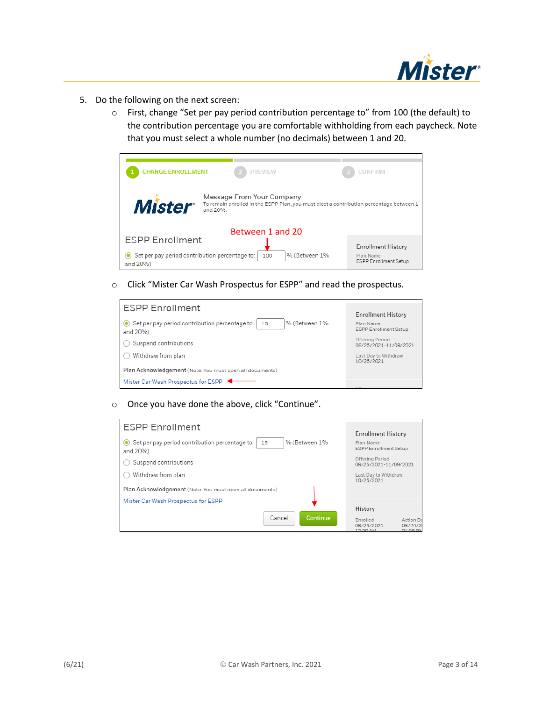

- 5. Do the following on the next screen:
	- o First, change "Set per pay period contribution percentage to" from 100 (the default) to the contribution percentage you are comfortable withholding from each paycheck. Note that you must select a whole number (no decimals) between 1 and 20.



o Click "Mister Car Wash Prospectus for ESPP" and read the prospectus.

| <b>ESPP Enrollment</b>                                                            |                                           |
|-----------------------------------------------------------------------------------|-------------------------------------------|
|                                                                                   | <b>Enrollment History</b>                 |
| Set per pay period contribution percentage to:<br>% (Between 1%<br>15<br>and 20%) | Plan Name<br><b>ESPP Enrollment Setup</b> |
| Suspend contributions                                                             | Offering Period<br>06/25/2021-11/09/2021  |
| Withdraw from plan                                                                | Last Day to Withdraw<br>10/25/2021        |
| Plan Acknowledgement (Note: You must open all documents)                          |                                           |
| Mister Car Wash Prospectus for ESPP                                               |                                           |

o Once you have done the above, click "Continue".

| <b>ESPP Enrollment</b>                                                            | <b>Enrollment History</b>                                                           |
|-----------------------------------------------------------------------------------|-------------------------------------------------------------------------------------|
| Set per pay period contribution percentage to:<br>% (Between 1%<br>15<br>and 20%) | Plan Name<br><b>ESPP Enrollment Setup</b>                                           |
| Suspend contributions                                                             | Offering Period<br>06/25/2021-11/09/2021                                            |
| Withdraw from plan                                                                | Last Day to Withdraw<br>10/25/2021                                                  |
| Plan Acknowledgement (Note: You must open all documents)                          |                                                                                     |
| Mister Car Wash Prospectus for ESPP                                               |                                                                                     |
| <b>Continue</b><br>Cancel                                                         | History<br>Action Da<br>Enrolled<br>06/24/2021<br>06/24/2<br>$01:05$ PM<br>12:00 AM |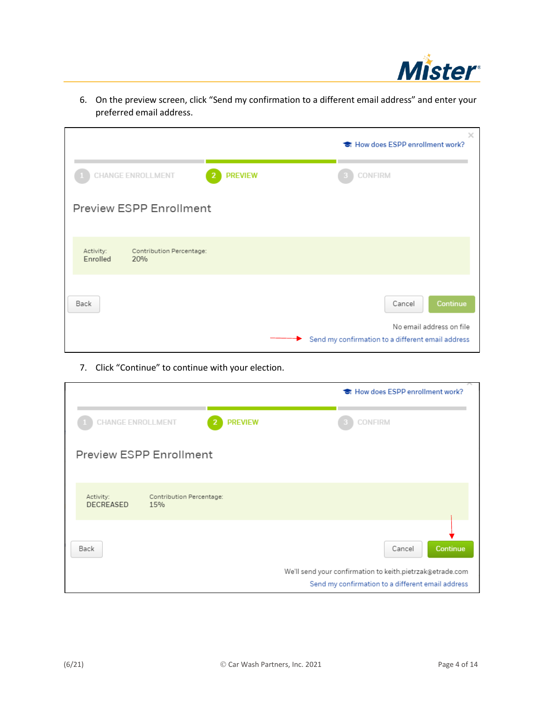

|                                                          |                | ×<br>the How does ESPP enrollment work?                                       |
|----------------------------------------------------------|----------------|-------------------------------------------------------------------------------|
| <b>CHANGE ENROLLMENT</b>                                 | <b>PREVIEW</b> | CONFIRM                                                                       |
| <b>Preview ESPP Enrollment</b>                           |                |                                                                               |
| Activity:<br>Contribution Percentage:<br>Enrolled<br>20% |                |                                                                               |
| Back                                                     |                | Continue<br>Cancel                                                            |
|                                                          | ►              | No email address on file<br>Send my confirmation to a different email address |

6. On the preview screen, click "Send my confirmation to a different email address" and enter your preferred email address.

7. Click "Continue" to continue with your election.

|                               |                                 | <b>है</b> How does ESPP enrollment work?                                        |
|-------------------------------|---------------------------------|---------------------------------------------------------------------------------|
| <b>CHANGE ENROLLMENT</b>      | <b>PREVIEW</b><br>2             | CONFIRM                                                                         |
|                               | <b>Preview ESPP Enrollment</b>  |                                                                                 |
| Activity:<br><b>DECREASED</b> | Contribution Percentage:<br>15% |                                                                                 |
| Back                          |                                 | Continue<br>Cancel<br>We'll send your confirmation to keith.pietrzak@etrade.com |
|                               |                                 | Send my confirmation to a different email address                               |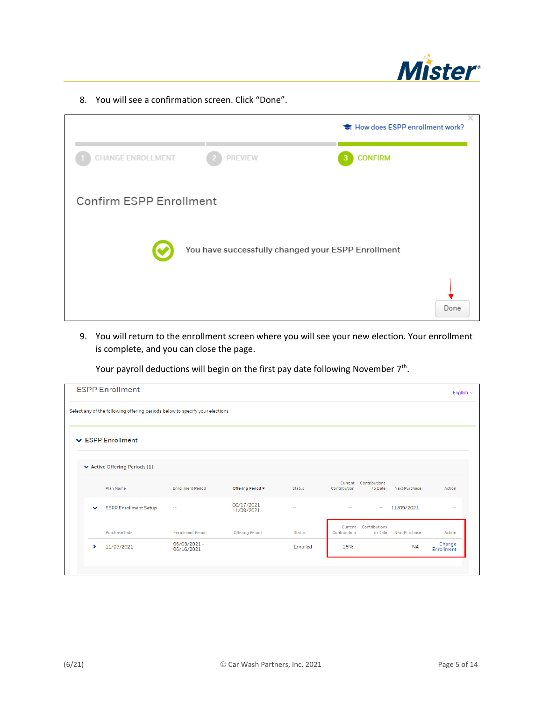

8. You will see a confirmation screen. Click "Done".

|                          |                                                    | <b>है</b> How does ESPP enrollment work? |
|--------------------------|----------------------------------------------------|------------------------------------------|
| <b>CHANGE ENROLLMENT</b> | <b>PREVIEW</b>                                     | <b>CONFIRM</b><br>3                      |
| Confirm ESPP Enrollment  |                                                    |                                          |
|                          | You have successfully changed your ESPP Enrollment |                                          |
|                          |                                                    | Done                                     |

9. You will return to the enrollment screen where you will see your new election. Your enrollment is complete, and you can close the page.

Your payroll deductions will begin on the first pay date following November 7<sup>th</sup>.

|              | <b>ESPP Enrollment</b>                                                       |                            |                           |               |                         |                                  |               | English $\sim$       |
|--------------|------------------------------------------------------------------------------|----------------------------|---------------------------|---------------|-------------------------|----------------------------------|---------------|----------------------|
|              | Select any of the following offering periods below to specify your elections |                            |                           |               |                         |                                  |               |                      |
|              | $\vee$ ESPP Enrollment                                                       |                            |                           |               |                         |                                  |               |                      |
|              | ▼ Active Offering Periods (1)                                                |                            |                           |               |                         |                                  |               |                      |
|              | Plan Name                                                                    | <b>Enrollment Period</b>   | Offering Period ▼         | <b>Status</b> | Current<br>Contribution | Contributions<br>to Date         | Next Purchase | Action               |
| $\checkmark$ | <b>ESPP Enrollment Setup</b>                                                 | $\overline{\phantom{a}}$   | 06/17/2021-<br>11/09/2021 | $\sim$        | --                      | -                                | 11/09/2021    | --                   |
|              | <b>Purchase Date</b>                                                         | <b>Enrollment Period</b>   | <b>Offering Period</b>    | <b>Status</b> | Contribution            | Current Contributions<br>to Date | Next Purchase | Action               |
| ×            | 11/09/2021                                                                   | 06/03/2021 -<br>06/16/2021 | $\sim$ $-$                | Enrolled      | 15%                     | $\sim$ $-$                       | <b>NA</b>     | Change<br>Enrollment |
|              |                                                                              |                            |                           |               |                         |                                  |               |                      |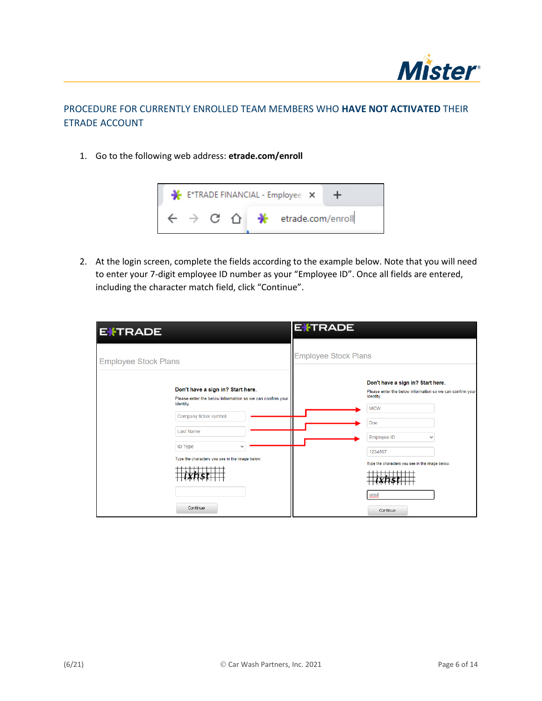

## PROCEDURE FOR CURRENTLY ENROLLED TEAM MEMBERS WHO **HAVE NOT ACTIVATED** THEIR ETRADE ACCOUNT

1. Go to the following web address: **etrade.com/enroll**



2. At the login screen, complete the fields according to the example below. Note that you will need to enter your 7-digit employee ID number as your "Employee ID". Once all fields are entered, including the character match field, click "Continue".

| <b>EXTRADE</b>                                                                                                                                                                                                                            | <b>EXTRADE</b>                                                                                                                                                                                                                            |
|-------------------------------------------------------------------------------------------------------------------------------------------------------------------------------------------------------------------------------------------|-------------------------------------------------------------------------------------------------------------------------------------------------------------------------------------------------------------------------------------------|
| <b>Employee Stock Plans</b>                                                                                                                                                                                                               | <b>Employee Stock Plans</b>                                                                                                                                                                                                               |
| Don't have a sign in? Start here.<br>Please enter the below information so we can confirm your<br>identity.<br>Company ticker symbol<br><b>Last Name</b><br><b>ID Type</b><br>Type the characters you see in the image below.<br>Continue | Don't have a sign in? Start here.<br>Please enter the below information so we can confirm your<br>identity.<br><b>MCW</b><br>Doe<br><b>Employee ID</b><br>1234567<br>Type the characters you see in the image below.<br>ixhst<br>Continue |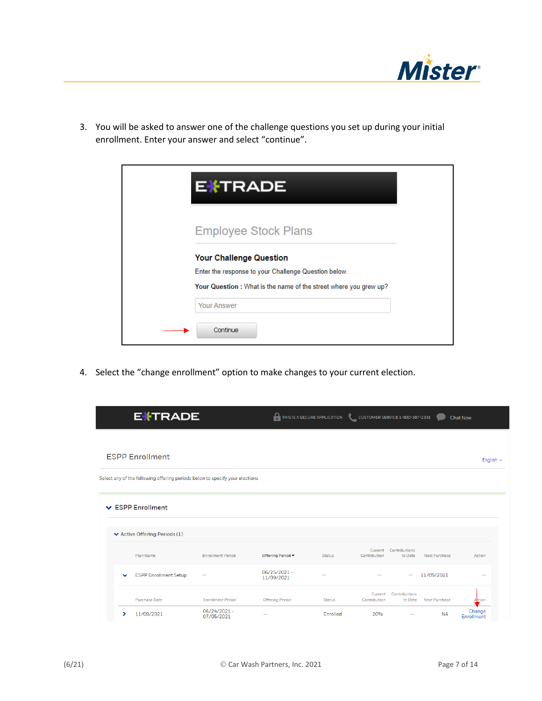

3. You will be asked to answer one of the challenge questions you set up during your initial enrollment. Enter your answer and select "continue".

| <b>EXTRADE</b>                                                   |
|------------------------------------------------------------------|
| <b>Employee Stock Plans</b>                                      |
| <b>Your Challenge Question</b>                                   |
| Enter the response to your Challenge Question below.             |
| Your Question: What is the name of the street where you grew up? |
| <b>Your Answer</b>                                               |
| Continue                                                         |

4. Select the "change enrollment" option to make changes to your current election.

|              | <b>EXTRADE</b>                                                               |                            | THIS IS A SECURE APPLICATION |               | CUSTOMER SERVICE 1-800-387-2331 |                          |                      | <b>Chat Now</b>      |
|--------------|------------------------------------------------------------------------------|----------------------------|------------------------------|---------------|---------------------------------|--------------------------|----------------------|----------------------|
|              |                                                                              |                            |                              |               |                                 |                          |                      |                      |
|              | <b>ESPP Enrollment</b>                                                       |                            |                              |               |                                 |                          |                      | English $\sim$       |
|              | Select any of the following offering periods below to specify your elections |                            |                              |               |                                 |                          |                      |                      |
|              |                                                                              |                            |                              |               |                                 |                          |                      |                      |
|              | $\vee$ ESPP Enrollment                                                       |                            |                              |               |                                 |                          |                      |                      |
|              | ▼ Active Offering Periods (1)                                                |                            |                              |               |                                 |                          |                      |                      |
|              |                                                                              |                            |                              |               |                                 |                          |                      |                      |
|              | Plan Name                                                                    | <b>Enrollment Period</b>   | Offering Period -            | <b>Status</b> | Current<br>Contribution         | Contributions<br>to Date | Next Purchase        | Action               |
| $\checkmark$ | <b>ESPP Enrollment Setup</b>                                                 | --                         | 06/25/2021 -<br>11/09/2021   | --            |                                 |                          | 11/09/2021           | $\sim$               |
|              | <b>Purchase Date</b>                                                         | <b>Enrollment Period</b>   | <b>Offering Period</b>       | <b>Status</b> | Current<br>Contribution         | Contributions<br>to Date | <b>Next Purchase</b> | Action               |
| ⋗            | 11/09/2021                                                                   | 06/24/2021 -<br>07/05/2021 | --                           | Enrolled      | 20%                             | --                       | <b>NA</b>            | Change<br>Enrollment |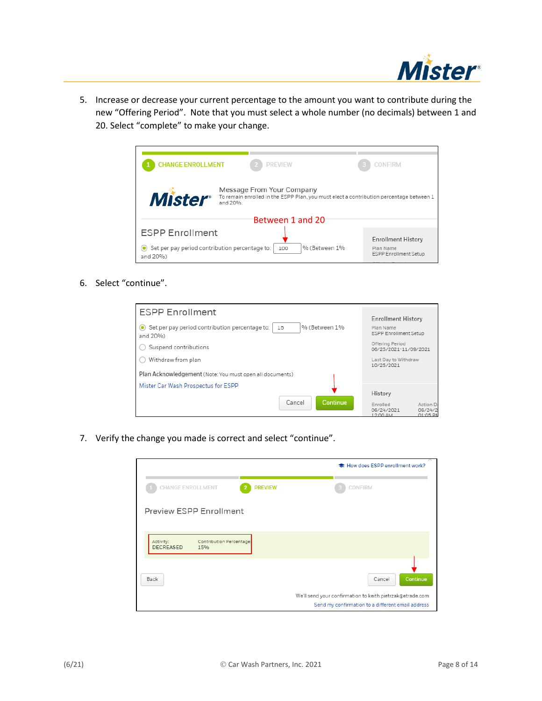

5. Increase or decrease your current percentage to the amount you want to contribute during the new "Offering Period". Note that you must select a whole number (no decimals) between 1 and 20. Select "complete" to make your change.



6. Select "continue".

| <b>ESPP Enrollment</b>                                                                       | <b>Enrollment History</b>                                                          |
|----------------------------------------------------------------------------------------------|------------------------------------------------------------------------------------|
| Set per pay period contribution percentage to:<br>% (Between 1%<br>15<br>$\circ$<br>and 20%) | Plan Name<br><b>ESPP Enrollment Setup</b>                                          |
| Suspend contributions                                                                        | Offering Period<br>06/25/2021-11/09/2021                                           |
| Withdraw from plan                                                                           | Last Day to Withdraw<br>10/25/2021                                                 |
| Plan Acknowledgement (Note: You must open all documents)                                     |                                                                                    |
| Mister Car Wash Prospectus for ESPP                                                          | History                                                                            |
| <b>Continue</b><br>Cancel                                                                    | Enrolled<br>Action Da<br>06/24/2021<br>06/24/2<br>01.05 P <sub>b</sub><br>12:00 AM |

7. Verify the change you made is correct and select "continue".

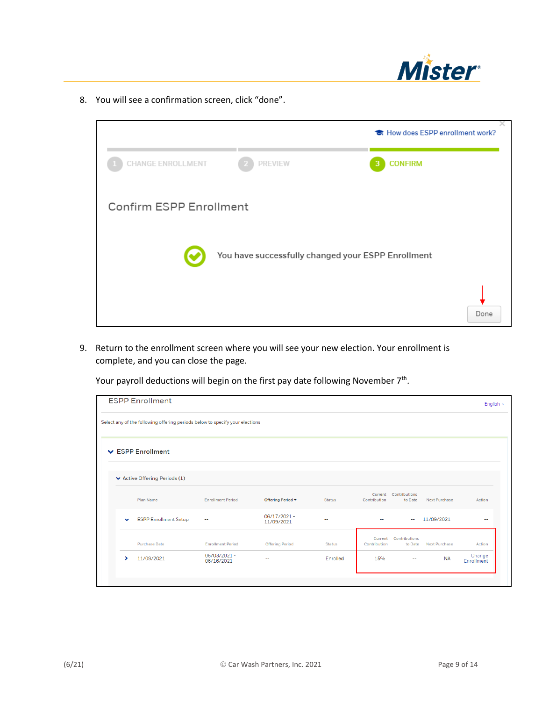

8. You will see a confirmation screen, click "done".

|                         |                                                    | <b>है</b> How does ESPP enrollment work? |
|-------------------------|----------------------------------------------------|------------------------------------------|
| CHANGE ENROLLMENT       | <b>PREVIEW</b>                                     | <b>CONFIRM</b><br>3                      |
| Confirm ESPP Enrollment |                                                    |                                          |
|                         | You have successfully changed your ESPP Enrollment |                                          |
|                         |                                                    | Done                                     |

9. Return to the enrollment screen where you will see your new election. Your enrollment is complete, and you can close the page.

Your payroll deductions will begin on the first pay date following November  $7<sup>th</sup>$ .

|              | <b>ESPP Enrollment</b>                                                       |                            |                           |               |                          |                                  |               | English $\sim$       |
|--------------|------------------------------------------------------------------------------|----------------------------|---------------------------|---------------|--------------------------|----------------------------------|---------------|----------------------|
|              | Select any of the following offering periods below to specify your elections |                            |                           |               |                          |                                  |               |                      |
|              | ▼ ESPP Enrollment                                                            |                            |                           |               |                          |                                  |               |                      |
|              | ↓ Active Offering Periods (1)                                                |                            |                           |               |                          |                                  |               |                      |
|              | Plan Name                                                                    | <b>Enrollment Period</b>   | Offering Period v         | <b>Status</b> | Contribution             | Current Contributions<br>to Date | Next Purchase | Action               |
| $\checkmark$ | <b>ESPP Enrollment Setup</b>                                                 | --                         | 06/17/2021-<br>11/09/2021 | $\sim$        | $\overline{\phantom{m}}$ | $\sim$                           | 11/09/2021    | --                   |
|              | <b>Purchase Date</b>                                                         | <b>Enrollment Period</b>   | <b>Offering Period</b>    | <b>Status</b> | Current<br>Contribution  | Contributions<br>to Date         | Next Purchase | Action               |
| ⋟            | 11/09/2021                                                                   | 06/03/2021 -<br>06/16/2021 | $\sim$ $-$                | Enrolled      | 15%                      | $\overline{a}$                   | <b>NA</b>     | Change<br>Enrollment |
|              |                                                                              |                            |                           |               |                          |                                  |               |                      |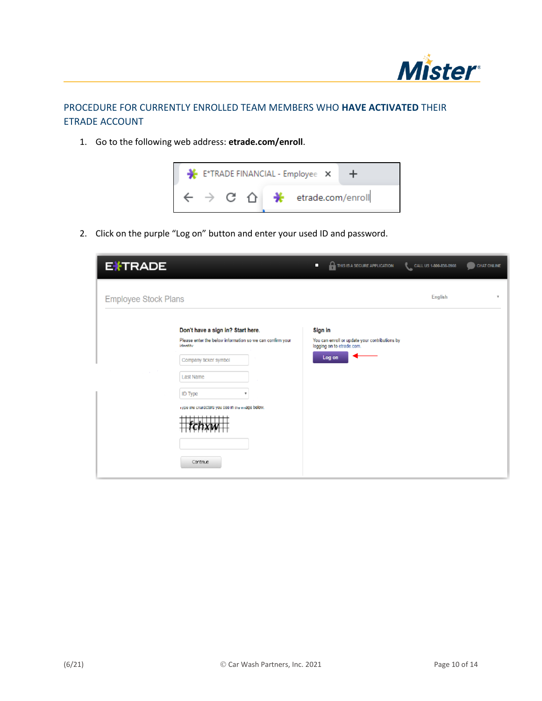

## PROCEDURE FOR CURRENTLY ENROLLED TEAM MEMBERS WHO **HAVE ACTIVATED** THEIR ETRADE ACCOUNT

1. Go to the following web address: **etrade.com/enroll**.



2. Click on the purple "Log on" button and enter your used ID and password.

| <b>EXTRADE</b>                   |                                                                                                                                                                                       | П       | THIS IS A SECURE APPLICATION                                                          | CALL US 1-800-838-0908 | CHAT ONLINE |
|----------------------------------|---------------------------------------------------------------------------------------------------------------------------------------------------------------------------------------|---------|---------------------------------------------------------------------------------------|------------------------|-------------|
| <b>Employee Stock Plans</b>      |                                                                                                                                                                                       |         |                                                                                       | English                |             |
| identify<br>Last Name<br>ID Type | Don't have a sign in? Start here.<br>Please enter the below information so we can confirm your<br>Company ticker symbol<br>rype the characters you see in the mage below.<br>Continue | Sign in | You can enroll or update your contributions by<br>logging on to etrade.com.<br>Log on |                        |             |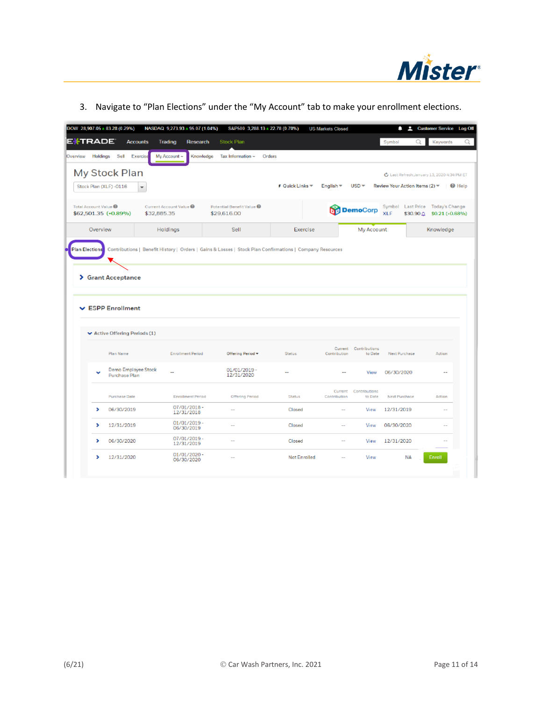

|  |  |  | 3. Navigate to "Plan Elections" under the "My Account" tab to make your enrollment elections. |
|--|--|--|-----------------------------------------------------------------------------------------------|
|  |  |  |                                                                                               |

|                                  | DOW 28,907.05 + 83.28 (0.29%)                                                 | NASDAQ 9,273.93 + 95.07 (1.04%)      |                                        | S&P500 3,288.13 + 22.78 (0.70%) | <b>US Markets Closed</b> |                                  | p<br>٠        | <b>Customer Service</b> Log Off                                         |  |
|----------------------------------|-------------------------------------------------------------------------------|--------------------------------------|----------------------------------------|---------------------------------|--------------------------|----------------------------------|---------------|-------------------------------------------------------------------------|--|
| E <del>X</del> TRADE             | <b>Accounts</b>                                                               | Trading<br><b>Research</b>           | Stock Plan                             |                                 |                          |                                  | Symbol        | Q<br>Keywords                                                           |  |
| Holdings<br><b>Overview</b>      | Sell<br>Exercise                                                              | My Account ~<br>Knowledge            | Tax Information ~                      | Orders                          |                          |                                  |               |                                                                         |  |
|                                  | My Stock Plan                                                                 |                                      |                                        |                                 |                          |                                  |               | C Last Refresh: January 13, 2020 4:34 PM ET                             |  |
| Stock Plan (XLF) -0116           | $\overline{\phantom{a}}$                                                      |                                      |                                        | <b>F</b> Quick Links ▼          | English =                | $USD -$                          |               | Review Your Action Items (2) ▼   © Help                                 |  |
| Total Account Value <sup>@</sup> | $$62,501.35 (+0.89\%)$                                                        | Current Account Value<br>\$32,885.35 | Potential Benefit Value<br>\$29,616.00 |                                 |                          | <b>DemoCorp</b>                  | <b>XLF</b>    | Symbol Last Price Today's Change<br>$$30.90 \triangle $ \$0.21 (+0.68%) |  |
| Overview                         |                                                                               | Holdings                             | Sell                                   | Exercise                        |                          | My Account                       |               | Knowledge                                                               |  |
|                                  | > Grant Acceptance                                                            |                                      |                                        |                                 |                          |                                  |               |                                                                         |  |
|                                  | <b>▽ ESPP Enrollment</b><br>$\blacktriangleright$ Active Offering Periods (1) |                                      |                                        |                                 |                          |                                  |               |                                                                         |  |
|                                  | Plan Name                                                                     | <b>Enrollment Period</b>             | Offering Period -                      | Status                          | Contribution             | Current Contributions<br>to Date | Next Purchase | Action                                                                  |  |
|                                  | Demo Employee Stock<br><b>Purchase Plan</b>                                   |                                      | 01/01/2019-<br>12/31/2020              | $\overline{a}$                  | $\overline{a}$           | View                             | 06/30/2020    | $\sim$                                                                  |  |
|                                  | <b>Purchase Date</b>                                                          | <b>Enrollment Period</b>             | Offering Period                        | Status                          | Current<br>Contribution  | Contributions<br>to Date         | Next Purchase | Action                                                                  |  |
| >                                | 06/30/2019                                                                    | 07/01/2018-<br>12/31/2018            | $\overline{a}$                         | Closed                          | $\overline{\phantom{a}}$ | View                             | 12/31/2019    |                                                                         |  |
| >                                | 12/31/2019                                                                    | 01/01/2019-<br>06/30/2019            | $\overline{\phantom{a}}$               | Closed                          | ٠.                       | View                             | 06/30/2020    | $\sim$                                                                  |  |
| ,                                | 06/30/2020                                                                    | 07/01/2019 -<br>12/31/2019           | --                                     | Closed                          | ц,                       | View                             | 12/31/2020    |                                                                         |  |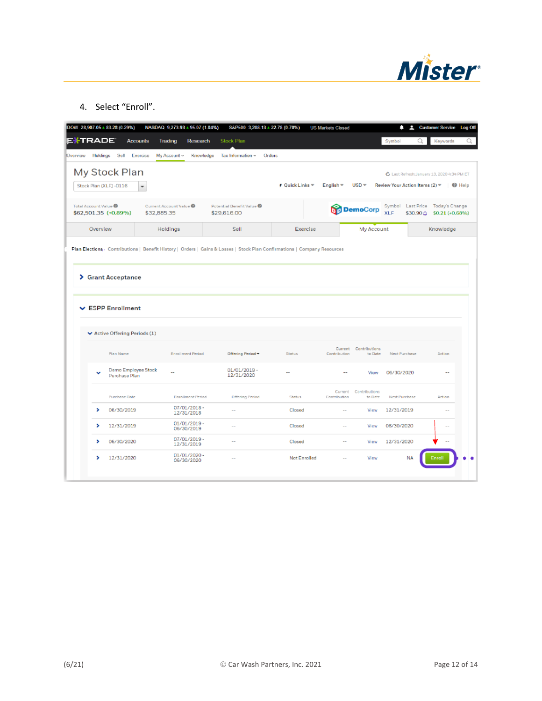

4. Select "Enroll".

|                                  | DOW 28,907.05 + 83.28 (0.29%)                                                 |                          | NASDAQ 9,273.93 + 95.07 (1.04%) |                 | S&P500 3,288.13 + 22.78 (0.70%)        |                        | <b>US Markets Closed</b> |                                  | ≏                                           | Customer Service Log Off |                                   |
|----------------------------------|-------------------------------------------------------------------------------|--------------------------|---------------------------------|-----------------|----------------------------------------|------------------------|--------------------------|----------------------------------|---------------------------------------------|--------------------------|-----------------------------------|
| E <sup>i</sup> trade             | <b>Accounts</b>                                                               |                          | Trading                         | <b>Research</b> | Stock Plan                             |                        |                          |                                  | Symbol                                      | Q                        | Keywords                          |
| <b>Overview</b>                  | Holdings Sell Exercise                                                        |                          | My Account ~                    | Knowledge       | Tax Information ~                      | Orders                 |                          |                                  |                                             |                          |                                   |
|                                  | My Stock Plan                                                                 |                          |                                 |                 |                                        |                        |                          |                                  | C Last Refresh: January 13, 2020 4:34 PM ET |                          |                                   |
| Stock Plan (XLF) -0116           |                                                                               | $\overline{\phantom{a}}$ |                                 |                 |                                        | <b>F</b> Quick Links ▼ | English $\equiv$         | $USD -$                          |                                             |                          |                                   |
| Total Account Value <sup>@</sup> | \$62,501.35 (+0.89%)                                                          | \$32,885.35              | Current Account Value           |                 | Potential Benefit Value<br>\$29,616.00 |                        |                          | DemoCorp                         | Symbol Last Price<br><b>XLF</b>             | \$30.90 $\triangle$      | Today's Change<br>\$0.21 (+0.68%) |
| Overview                         |                                                                               |                          | Holdings                        |                 | Sell                                   | Exercise               |                          | My Account                       |                                             |                          | Knowledge                         |
|                                  | > Grant Acceptance                                                            |                          |                                 |                 |                                        |                        |                          |                                  |                                             |                          |                                   |
|                                  | <b>▽ ESPP Enrollment</b><br>$\blacktriangleright$ Active Offering Periods (1) |                          |                                 |                 |                                        |                        |                          |                                  |                                             |                          |                                   |
|                                  | Plan Name                                                                     |                          | <b>Enrollment Period</b>        |                 | Offering Period -                      | <b>Status</b>          | Contribution             | Current Contributions<br>to Date | Next Purchase                               |                          | Action                            |
| v                                | Demo Employee Stock<br><b>Purchase Plan</b>                                   |                          | $\sim$                          |                 | 01/01/2019-<br>12/31/2020              | --                     | --                       | View                             | 06/30/2020                                  |                          | $\sim$                            |
|                                  | <b>Purchase Date</b>                                                          |                          | <b>Enrollment Period</b>        |                 | Offering Period                        | Status                 | Current<br>Contribution  | Contributions<br>to Date         | Next Purchase                               |                          | Action                            |
| >                                | 06/30/2019                                                                    |                          | 07/01/2018-<br>12/31/2018       |                 | $\overline{\phantom{a}}$               | Closed                 | $\overline{a}$           | View                             | 12/31/2019                                  |                          |                                   |
| >                                | 12/31/2019                                                                    |                          | 01/01/2019-<br>06/30/2019       |                 | $\sim$                                 | Closed                 | $\sim$                   | View                             | 06/30/2020                                  |                          | $\sim$                            |
| >                                | 06/30/2020                                                                    |                          | 07/01/2019 -<br>12/31/2019      |                 | $\overline{\phantom{a}}$               | Closed                 | $\overline{a}$           | View                             | 12/31/2020                                  |                          |                                   |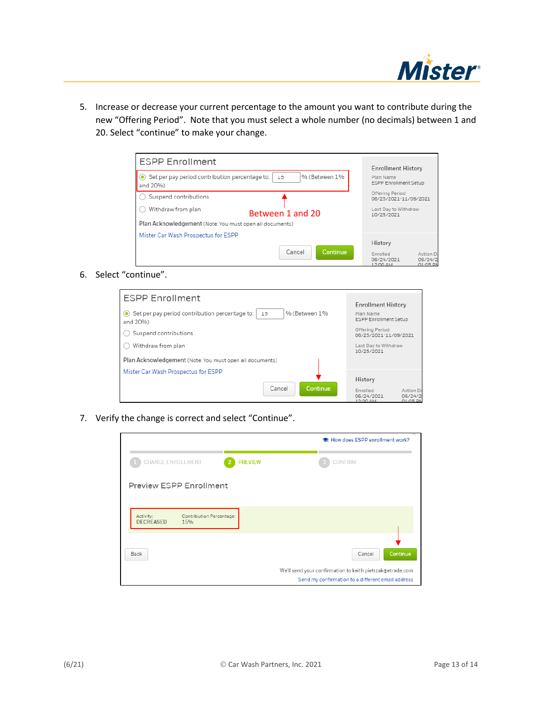

5. Increase or decrease your current percentage to the amount you want to contribute during the new "Offering Period". Note that you must select a whole number (no decimals) between 1 and 20. Select "continue" to make your change.

| <b>ESPP Enrollment</b>                                           |                 | <b>Enrollment History</b>                     |                                  |
|------------------------------------------------------------------|-----------------|-----------------------------------------------|----------------------------------|
| Set per pay period contribution percentage to:<br>15<br>and 20%) | % (Between 1%   | Plan Name<br><b>ESPP Enrollment Setup</b>     |                                  |
| Suspend contributions                                            |                 | Offering Period<br>06/25/2021-11/09/2021      |                                  |
| Withdraw from plan<br>Between 1 and 20                           |                 | Last Day to Withdraw<br>10/25/2021            |                                  |
| Plan Acknowledgement (Note: You must open all documents)         |                 |                                               |                                  |
| Mister Car Wash Prospectus for ESPP                              |                 |                                               |                                  |
| Cancel                                                           | <b>Continue</b> | History<br>Enrolled<br>06/24/2021<br>12:00 AM | Action Da<br>06/24/2<br>01:05 PN |

6. Select "continue".

| <b>ESPP Enrollment</b>                                                            | <b>Enrollment History</b>                                                     |
|-----------------------------------------------------------------------------------|-------------------------------------------------------------------------------|
| Set per pay period contribution percentage to:<br>% (Between 1%<br>15<br>and 20%) | Plan Name<br><b>ESPP Enrollment Setup</b>                                     |
| Suspend contributions                                                             | Offering Period<br>06/25/2021-11/09/2021                                      |
| Withdraw from plan                                                                | Last Day to Withdraw<br>10/25/2021                                            |
| Plan Acknowledgement (Note: You must open all documents)                          |                                                                               |
| Mister Car Wash Prospectus for ESPP                                               | History                                                                       |
| Cancel<br>Continue                                                                | Action Da<br>Enrolled<br>06/24/2021<br>06/24/2<br>$0.1 - 0.5$ Dk.<br>10.00.11 |

7. Verify the change is correct and select "Continue".

|                                                                  | the How does ESPP enrollment work?                                                                                                   |
|------------------------------------------------------------------|--------------------------------------------------------------------------------------------------------------------------------------|
| <b>PREVIEW</b><br><b>CHANGE ENROLLMENT</b>                       | CONFIRM                                                                                                                              |
| Preview ESPP Enrollment                                          |                                                                                                                                      |
| Activity:<br>Contribution Percentage:<br><b>DECREASED</b><br>15% |                                                                                                                                      |
| Back                                                             | Continue<br>Cancel<br>We'll send your confirmation to keith.pietrzak@etrade.com<br>Send my confirmation to a different email address |